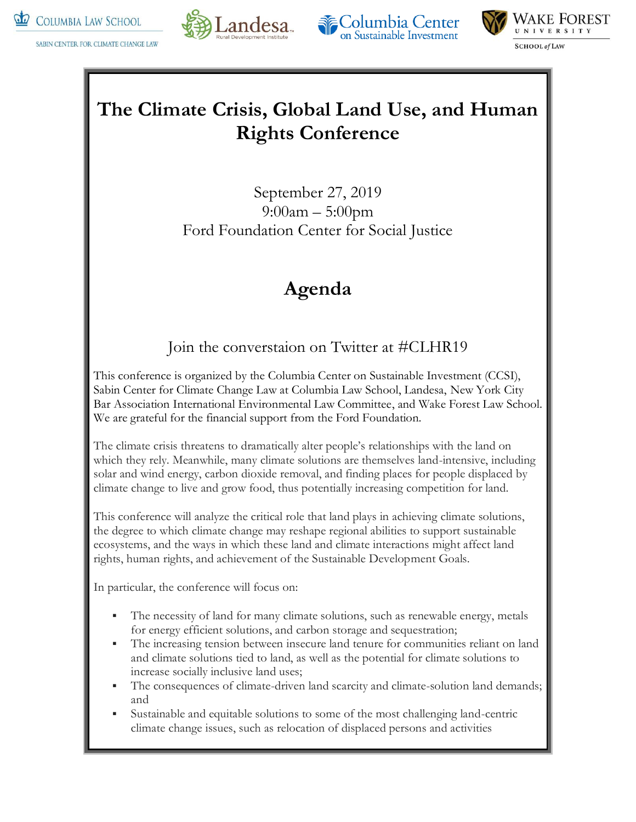

SABIN CENTER FOR CLIMATE CHANGE LAW







## **The Climate Crisis, Global Land Use, and Human Rights Conference**

September 27, 2019 9:00am – 5:00pm Ford Foundation Center for Social Justice

# **Agenda**

### Join the converstaion on Twitter at #CLHR19

This conference is organized by the Columbia Center on Sustainable Investment (CCSI), Sabin Center for Climate Change Law at Columbia Law School, Landesa, New York City Bar Association International Environmental Law Committee, and Wake Forest Law School. We are grateful for the financial support from the Ford Foundation.

The climate crisis threatens to dramatically alter people's relationships with the land on which they rely. Meanwhile, many climate solutions are themselves land-intensive, including solar and wind energy, carbon dioxide removal, and finding places for people displaced by climate change to live and grow food, thus potentially increasing competition for land.

This conference will analyze the critical role that land plays in achieving climate solutions, the degree to which climate change may reshape regional abilities to support sustainable ecosystems, and the ways in which these land and climate interactions might affect land rights, human rights, and achievement of the Sustainable Development Goals.

In particular, the conference will focus on:

- The necessity of land for many climate solutions, such as renewable energy, metals for energy efficient solutions, and carbon storage and sequestration;
- The increasing tension between insecure land tenure for communities reliant on land and climate solutions tied to land, as well as the potential for climate solutions to increase socially inclusive land uses;
- The consequences of climate-driven land scarcity and climate-solution land demands; and
- Sustainable and equitable solutions to some of the most challenging land-centric climate change issues, such as relocation of displaced persons and activities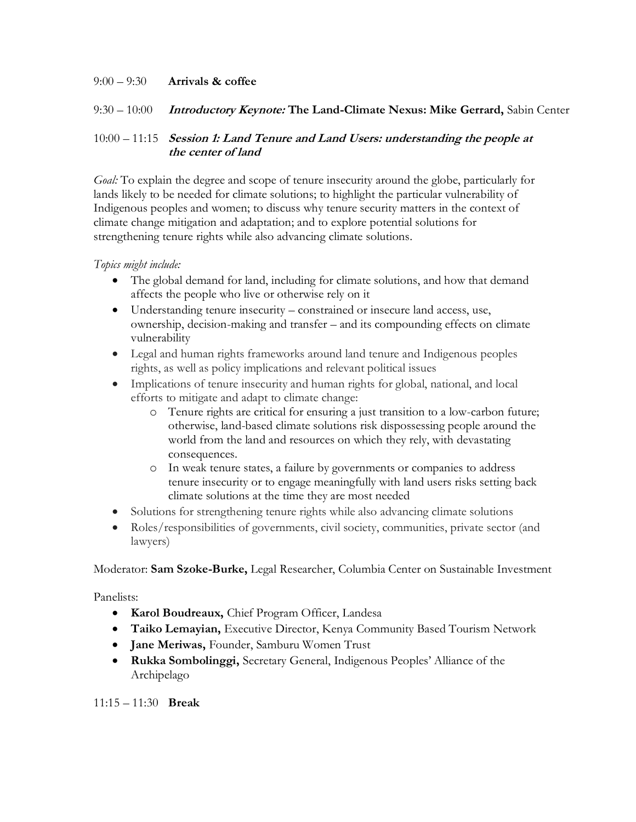#### 9:00 – 9:30 **Arrivals & coffee**

#### 9:30 – 10:00 **Introductory Keynote: The Land-Climate Nexus: Mike Gerrard,** Sabin Center

#### 10:00 – 11:15 **Session 1: Land Tenure and Land Users: understanding the people at the center of land**

*Goal:* To explain the degree and scope of tenure insecurity around the globe, particularly for lands likely to be needed for climate solutions; to highlight the particular vulnerability of Indigenous peoples and women; to discuss why tenure security matters in the context of climate change mitigation and adaptation; and to explore potential solutions for strengthening tenure rights while also advancing climate solutions.

#### *Topics might include:*

- The global demand for land, including for climate solutions, and how that demand affects the people who live or otherwise rely on it
- Understanding tenure insecurity constrained or insecure land access, use, ownership, decision-making and transfer – and its compounding effects on climate vulnerability
- Legal and human rights frameworks around land tenure and Indigenous peoples rights, as well as policy implications and relevant political issues
- Implications of tenure insecurity and human rights for global, national, and local efforts to mitigate and adapt to climate change:
	- o Tenure rights are critical for ensuring a just transition to a low-carbon future; otherwise, land-based climate solutions risk dispossessing people around the world from the land and resources on which they rely, with devastating consequences.
	- o In weak tenure states, a failure by governments or companies to address tenure insecurity or to engage meaningfully with land users risks setting back climate solutions at the time they are most needed
- Solutions for strengthening tenure rights while also advancing climate solutions
- Roles/responsibilities of governments, civil society, communities, private sector (and lawyers)

Moderator: **Sam Szoke-Burke,** Legal Researcher, Columbia Center on Sustainable Investment

#### Panelists:

- **Karol Boudreaux,** Chief Program Officer, Landesa
- **Taiko Lemayian,** Executive Director, Kenya Community Based Tourism Network
- **Jane Meriwas,** Founder, Samburu Women Trust
- **Rukka Sombolinggi,** Secretary General, Indigenous Peoples' Alliance of the Archipelago

11:15 – 11:30 **Break**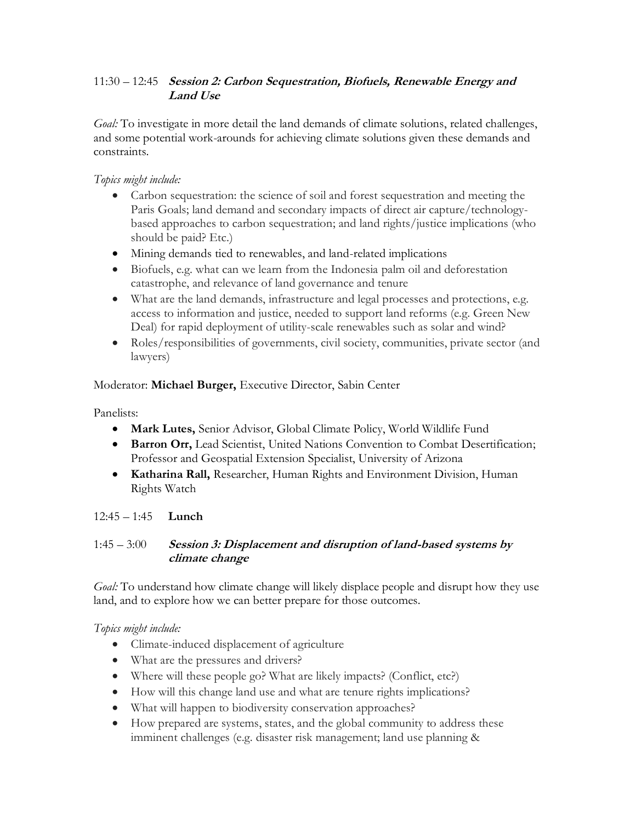#### 11:30 – 12:45 **Session 2: Carbon Sequestration, Biofuels, Renewable Energy and Land Use**

*Goal:* To investigate in more detail the land demands of climate solutions, related challenges, and some potential work-arounds for achieving climate solutions given these demands and constraints.

#### *Topics might include:*

- Carbon sequestration: the science of soil and forest sequestration and meeting the Paris Goals; land demand and secondary impacts of direct air capture/technologybased approaches to carbon sequestration; and land rights/justice implications (who should be paid? Etc.)
- Mining demands tied to renewables, and land-related implications
- Biofuels, e.g. what can we learn from the Indonesia palm oil and deforestation catastrophe, and relevance of land governance and tenure
- What are the land demands, infrastructure and legal processes and protections, e.g. access to information and justice, needed to support land reforms (e.g. Green New Deal) for rapid deployment of utility-scale renewables such as solar and wind?
- Roles/responsibilities of governments, civil society, communities, private sector (and lawyers)

#### Moderator: **Michael Burger,** Executive Director, Sabin Center

#### Panelists:

- **Mark Lutes,** Senior Advisor, Global Climate Policy, World Wildlife Fund
- **Barron Orr,** Lead Scientist, United Nations Convention to Combat Desertification; Professor and Geospatial Extension Specialist, University of Arizona
- **Katharina Rall,** Researcher, Human Rights and Environment Division, Human Rights Watch

#### 12:45 – 1:45 **Lunch**

#### 1:45 – 3:00 **Session 3: Displacement and disruption of land-based systems by climate change**

*Goal:* To understand how climate change will likely displace people and disrupt how they use land, and to explore how we can better prepare for those outcomes.

#### *Topics might include:*

- Climate-induced displacement of agriculture
- What are the pressures and drivers?
- Where will these people go? What are likely impacts? (Conflict, etc?)
- How will this change land use and what are tenure rights implications?
- What will happen to biodiversity conservation approaches?
- How prepared are systems, states, and the global community to address these imminent challenges (e.g. disaster risk management; land use planning &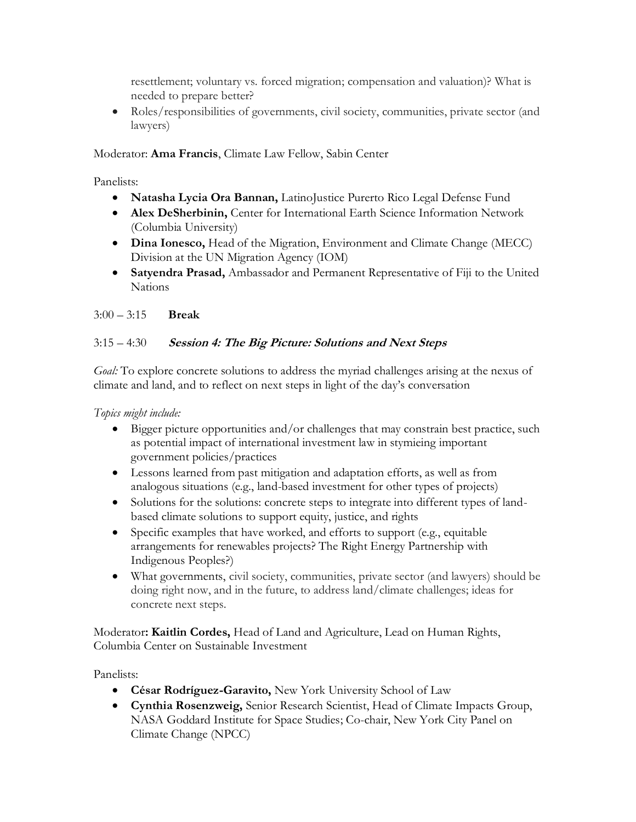resettlement; voluntary vs. forced migration; compensation and valuation)? What is needed to prepare better?

• Roles/responsibilities of governments, civil society, communities, private sector (and lawyers)

Moderator: **Ama Francis**, Climate Law Fellow, Sabin Center

Panelists:

- **Natasha Lycia Ora Bannan,** LatinoJustice Purerto Rico Legal Defense Fund
- **Alex DeSherbinin,** Center for International Earth Science Information Network (Columbia University)
- **Dina Ionesco,** Head of the Migration, Environment and Climate Change (MECC) Division at the UN Migration Agency (IOM)
- **Satyendra Prasad,** Ambassador and Permanent Representative of Fiji to the United Nations

3:00 – 3:15 **Break**

### 3:15 – 4:30 **Session 4: The Big Picture: Solutions and Next Steps**

*Goal:* To explore concrete solutions to address the myriad challenges arising at the nexus of climate and land, and to reflect on next steps in light of the day's conversation

*Topics might include:*

- Bigger picture opportunities and/or challenges that may constrain best practice, such as potential impact of international investment law in stymieing important government policies/practices
- Lessons learned from past mitigation and adaptation efforts, as well as from analogous situations (e.g., land-based investment for other types of projects)
- Solutions for the solutions: concrete steps to integrate into different types of landbased climate solutions to support equity, justice, and rights
- Specific examples that have worked, and efforts to support (e.g., equitable arrangements for renewables projects? The Right Energy Partnership with Indigenous Peoples?)
- What governments, civil society, communities, private sector (and lawyers) should be doing right now, and in the future, to address land/climate challenges; ideas for concrete next steps.

Moderator**: Kaitlin Cordes,** Head of Land and Agriculture, Lead on Human Rights, Columbia Center on Sustainable Investment

Panelists:

- **César Rodríguez-Garavito,** New York University School of Law
- **Cynthia Rosenzweig,** Senior Research Scientist, Head of Climate Impacts Group, NASA Goddard Institute for Space Studies; Co-chair, New York City Panel on Climate Change (NPCC)